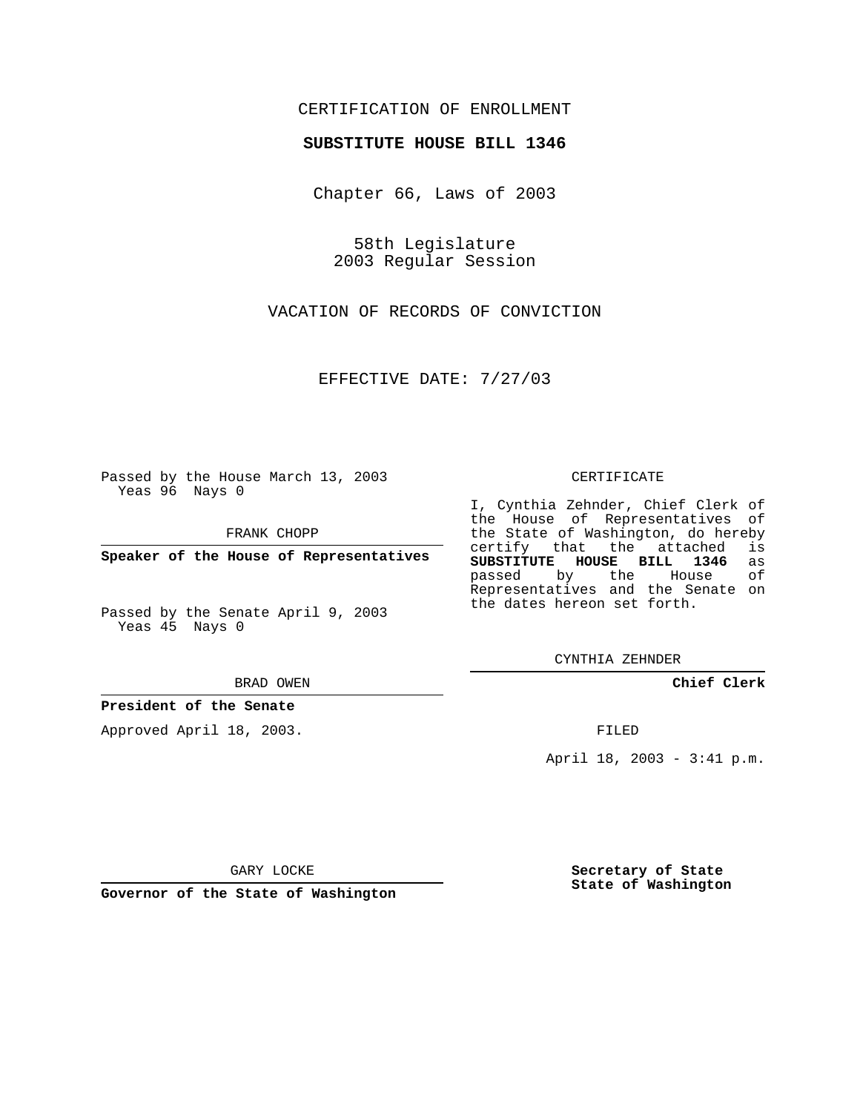## CERTIFICATION OF ENROLLMENT

#### **SUBSTITUTE HOUSE BILL 1346**

Chapter 66, Laws of 2003

58th Legislature 2003 Regular Session

VACATION OF RECORDS OF CONVICTION

EFFECTIVE DATE: 7/27/03

Passed by the House March 13, 2003 Yeas 96 Nays 0

FRANK CHOPP

**Speaker of the House of Representatives**

Passed by the Senate April 9, 2003 Yeas 45 Nays 0

#### BRAD OWEN

## **President of the Senate**

Approved April 18, 2003.

#### CERTIFICATE

I, Cynthia Zehnder, Chief Clerk of the House of Representatives of the State of Washington, do hereby<br>certify that the attached is certify that the attached **SUBSTITUTE HOUSE BILL 1346** as passed by the Representatives and the Senate on the dates hereon set forth.

CYNTHIA ZEHNDER

**Chief Clerk**

FILED

April 18, 2003 - 3:41 p.m.

GARY LOCKE

**Governor of the State of Washington**

**Secretary of State State of Washington**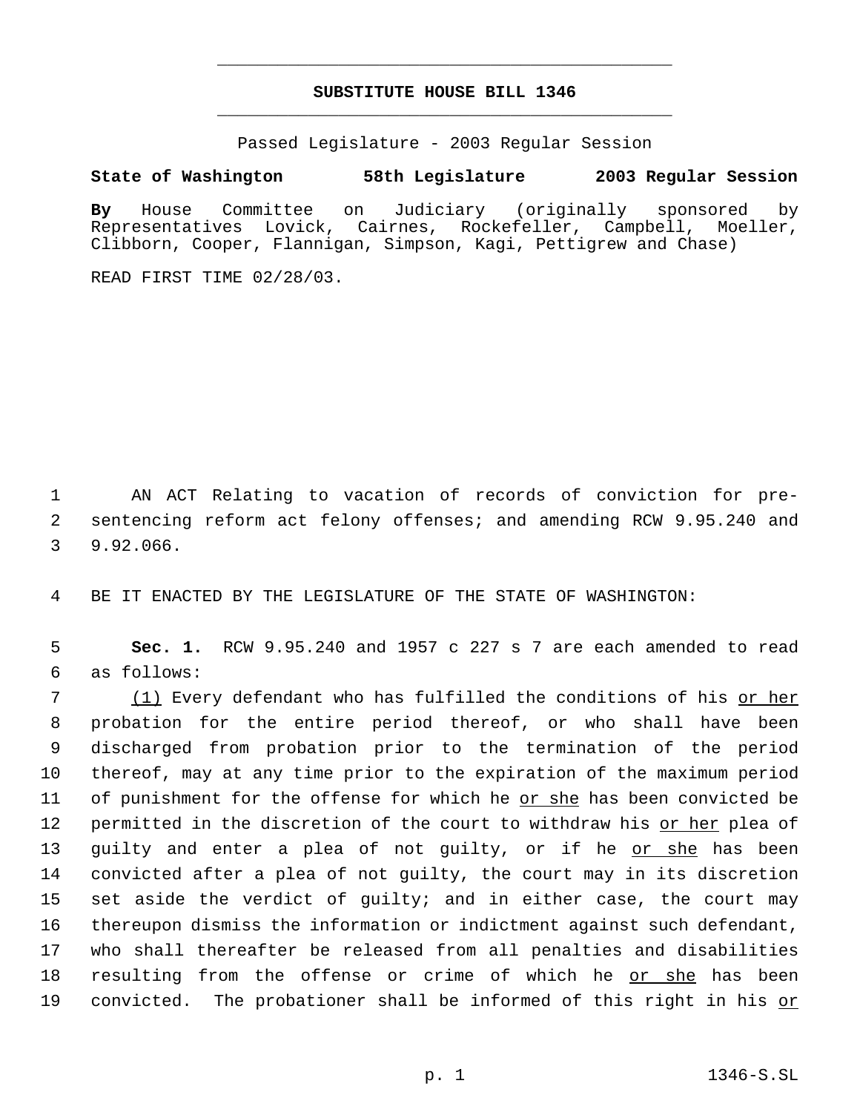# **SUBSTITUTE HOUSE BILL 1346** \_\_\_\_\_\_\_\_\_\_\_\_\_\_\_\_\_\_\_\_\_\_\_\_\_\_\_\_\_\_\_\_\_\_\_\_\_\_\_\_\_\_\_\_\_

\_\_\_\_\_\_\_\_\_\_\_\_\_\_\_\_\_\_\_\_\_\_\_\_\_\_\_\_\_\_\_\_\_\_\_\_\_\_\_\_\_\_\_\_\_

Passed Legislature - 2003 Regular Session

### **State of Washington 58th Legislature 2003 Regular Session**

**By** House Committee on Judiciary (originally sponsored by Representatives Lovick, Cairnes, Rockefeller, Campbell, Moeller, Clibborn, Cooper, Flannigan, Simpson, Kagi, Pettigrew and Chase)

READ FIRST TIME 02/28/03.

 1 AN ACT Relating to vacation of records of conviction for pre- 2 sentencing reform act felony offenses; and amending RCW 9.95.240 and 3 9.92.066.

4 BE IT ENACTED BY THE LEGISLATURE OF THE STATE OF WASHINGTON:

 5 **Sec. 1.** RCW 9.95.240 and 1957 c 227 s 7 are each amended to read 6 as follows:

7 (1) Every defendant who has fulfilled the conditions of his <u>or her</u> probation for the entire period thereof, or who shall have been discharged from probation prior to the termination of the period thereof, may at any time prior to the expiration of the maximum period of punishment for the offense for which he or she has been convicted be 12 permitted in the discretion of the court to withdraw his <u>or her</u> plea of 13 guilty and enter a plea of not guilty, or if he <u>or she</u> has been convicted after a plea of not guilty, the court may in its discretion set aside the verdict of guilty; and in either case, the court may thereupon dismiss the information or indictment against such defendant, who shall thereafter be released from all penalties and disabilities 18 resulting from the offense or crime of which he <u>or she</u> has been 19 convicted. The probationer shall be informed of this right in his or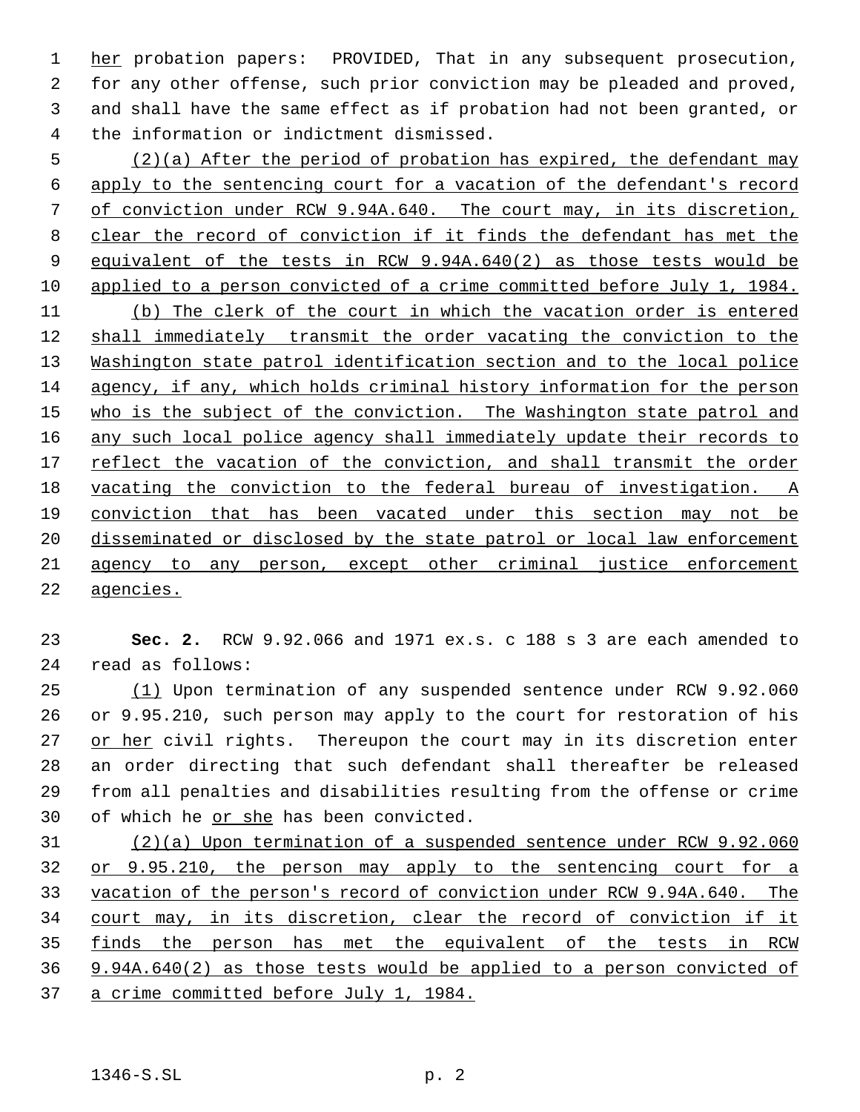1 her probation papers: PROVIDED, That in any subsequent prosecution, for any other offense, such prior conviction may be pleaded and proved, and shall have the same effect as if probation had not been granted, or the information or indictment dismissed.

 (2)(a) After the period of probation has expired, the defendant may apply to the sentencing court for a vacation of the defendant's record of conviction under RCW 9.94A.640. The court may, in its discretion, clear the record of conviction if it finds the defendant has met the equivalent of the tests in RCW 9.94A.640(2) as those tests would be applied to a person convicted of a crime committed before July 1, 1984. (b) The clerk of the court in which the vacation order is entered shall immediately transmit the order vacating the conviction to the Washington state patrol identification section and to the local police agency, if any, which holds criminal history information for the person 15 who is the subject of the conviction. The Washington state patrol and 16 any such local police agency shall immediately update their records to 17 reflect the vacation of the conviction, and shall transmit the order vacating the conviction to the federal bureau of investigation. A conviction that has been vacated under this section may not be 20 disseminated or disclosed by the state patrol or local law enforcement agency to any person, except other criminal justice enforcement agencies.

 **Sec. 2.** RCW 9.92.066 and 1971 ex.s. c 188 s 3 are each amended to read as follows:

 (1) Upon termination of any suspended sentence under RCW 9.92.060 or 9.95.210, such person may apply to the court for restoration of his 27 or her civil rights. Thereupon the court may in its discretion enter an order directing that such defendant shall thereafter be released from all penalties and disabilities resulting from the offense or crime 30 of which he or she has been convicted.

 (2)(a) Upon termination of a suspended sentence under RCW 9.92.060 or 9.95.210, the person may apply to the sentencing court for a vacation of the person's record of conviction under RCW 9.94A.640. The court may, in its discretion, clear the record of conviction if it finds the person has met the equivalent of the tests in RCW 9.94A.640(2) as those tests would be applied to a person convicted of a crime committed before July 1, 1984.